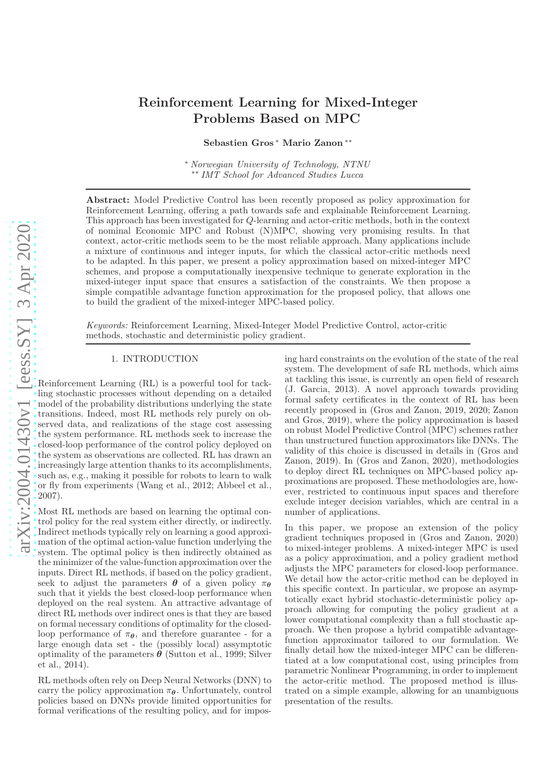# Reinforcement Learning for Mixed-Integer Problems Based on MPC

Sebastien Gros <sup>∗</sup> Mario Zanon ∗∗

<sup>∗</sup> *Norwegian University of Technology, NTNU* ∗∗ *IMT School for Advanced Studies Lucca*

Abstract: Model Predictive Control has been recently proposed as policy approximation for Reinforcement Learning, offering a path towards safe and explainable Reinforcement Learning. This approach has been investigated for Q-learning and actor-critic methods, both in the context of nominal Economic MPC and Robust (N)MPC, showing very promising results. In that context, actor-critic methods seem to be the most reliable approach. Many applications include a mixture of continuous and integer inputs, for which the classical actor-critic methods need to be adapted. In this paper, we present a policy approximation based on mixed-integer MPC schemes, and propose a computationally inexpensive technique to generate exploration in the mixed-integer input space that ensures a satisfaction of the constraints. We then propose a simple compatible advantage function approximation for the proposed policy, that allows one to build the gradient of the mixed-integer MPC-based policy.

*Keywords:* Reinforcement Learning, Mixed-Integer Model Predictive Control, actor-critic methods, stochastic and deterministic policy gradient.

# 1. INTRODUCTION

Reinforcement Learning (RL) is a powerful tool for tackling stochastic processes without depending on a detailed model of the probability distributions underlying the state transitions. Indeed, most RL methods rely purely on observed data, and realizations of the stage cost assessing the system performance. RL methods seek to increase the closed-loop performance of the control policy deployed on the system as observations are collected. RL has drawn an increasingly large attention thanks to its accomplishments, such as, e.g., making it possible for robots to learn to walk or fly from experiments (Wang et al., 2012; Abbeel et al., 2007).

Most RL methods are based on learning the optimal control policy for the real system either directly, or indirectly. Indirect methods typically rely on learning a good approximation of the optimal action-value function underlying the system. The optimal policy is then indirectly obtained as the minimizer of the value-function approximation over the inputs. Direct RL methods, if based on the policy gradient, seek to adjust the parameters  $\theta$  of a given policy  $\pi_{\theta}$ such that it yields the best closed-loop performance when deployed on the real system. An attractive advantage of direct RL methods over indirect ones is that they are based on formal necessary conditions of optimality for the closedloop performance of  $\pi_{\theta}$ , and therefore guarantee - for a large enough data set - the (possibly local) assymptotic optimality of the parameters  $\boldsymbol{\theta}$  (Sutton et al., 1999; Silver et al., 2014).

RL methods often rely on Deep Neural Networks (DNN) to carry the policy approximation  $\pi_{\theta}$ . Unfortunately, control policies based on DNNs provide limited opportunities for formal verifications of the resulting policy, and for imposing hard constraints on the evolution of the state of the real system. The development of safe RL methods, which aims at tackling this issue, is currently an open field of research (J. Garcia, 2013). A novel approach towards providing formal safety certificates in the context of RL has been recently proposed in (Gros and Zanon, 2019, 2020; Zanon and Gros, 2019), where the policy approximation is based on robust Model Predictive Control (MPC) schemes rather than unstructured function approximators like DNNs. The validity of this choice is discussed in details in (Gros and Zanon, 2019). In (Gros and Zanon, 2020), methodologies to deploy direct RL techniques on MPC-based policy approximations are proposed. These methodologies are, however, restricted to continuous input spaces and therefore exclude integer decision variables, which are central in a number of applications.

In this paper, we propose an extension of the policy gradient techniques proposed in (Gros and Zanon, 2020) to mixed-integer problems. A mixed-integer MPC is used as a policy approximation, and a policy gradient method adjusts the MPC parameters for closed-loop performance. We detail how the actor-critic method can be deployed in this specific context. In particular, we propose an asymptotically exact hybrid stochastic-deterministic policy approach allowing for computing the policy gradient at a lower computational complexity than a full stochastic approach. We then propose a hybrid compatible advantagefunction approximator tailored to our formulation. We finally detail how the mixed-integer MPC can be differentiated at a low computational cost, using principles from parametric Nonlinear Programming, in order to implement the actor-critic method. The proposed method is illustrated on a simple example, allowing for an unambiguous presentation of the results.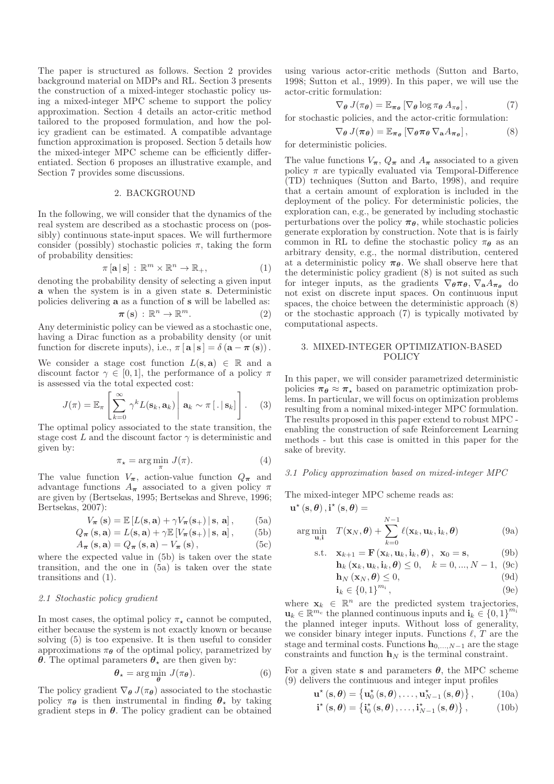The paper is structured as follows. Section 2 provides background material on MDPs and RL. Section 3 presents the construction of a mixed-integer stochastic policy using a mixed-integer MPC scheme to support the policy approximation. Section 4 details an actor-critic method tailored to the proposed formulation, and how the policy gradient can be estimated. A compatible advantage function approximation is proposed. Section 5 details how the mixed-integer MPC scheme can be efficiently differentiated. Section 6 proposes an illustrative example, and Section 7 provides some discussions.

#### 2. BACKGROUND

In the following, we will consider that the dynamics of the real system are described as a stochastic process on (possibly) continuous state-input spaces. We will furthermore consider (possibly) stochastic policies  $\pi$ , taking the form of probability densities:

$$
\pi[\mathbf{a} \,|\, \mathbf{s}] \,:\, \mathbb{R}^m \times \mathbb{R}^n \to \mathbb{R}_+, \tag{1}
$$

denoting the probability density of selecting a given input a when the system is in a given state s. Deterministic policies delivering a as a function of s will be labelled as:

$$
\pi(\mathbf{s}) : \mathbb{R}^n \to \mathbb{R}^m. \tag{2}
$$

Any deterministic policy can be viewed as a stochastic one, having a Dirac function as a probability density (or unit function for discrete inputs), i.e.,  $\pi [\mathbf{a} | \mathbf{s}] = \delta (\mathbf{a} - \pi (\mathbf{s})).$ 

We consider a stage cost function  $L(s, a) \in \mathbb{R}$  and a discount factor  $\gamma \in [0, 1]$ , the performance of a policy  $\pi$ is assessed via the total expected cost:

$$
J(\pi) = \mathbb{E}_{\pi} \left[ \sum_{k=0}^{\infty} \gamma^k L(\mathbf{s}_k, \mathbf{a}_k) \middle| \mathbf{a}_k \sim \pi \left[ . \middle| \mathbf{s}_k \right] \right]. \tag{3}
$$

The optimal policy associated to the state transition, the stage cost L and the discount factor  $\gamma$  is deterministic and given by:

$$
\pi_{\star} = \arg\min_{\pi} J(\pi). \tag{4}
$$

The value function  $V_{\pi}$ , action-value function  $Q_{\pi}$  and advantage functions  $A_{\pi}$  associated to a given policy  $\pi$ are given by (Bertsekas, 1995; Bertsekas and Shreve, 1996; Bertsekas, 2007):

$$
V_{\boldsymbol{\pi}}(\mathbf{s}) = \mathbb{E}\left[L(\mathbf{s}, \mathbf{a}) + \gamma V_{\boldsymbol{\pi}}(\mathbf{s}_+) \,|\, \mathbf{s}, \, \mathbf{a}\right],\tag{5a}
$$

$$
Q_{\boldsymbol{\pi}}(\mathbf{s}, \mathbf{a}) = L(\mathbf{s}, \mathbf{a}) + \gamma \mathbb{E}\left[V_{\boldsymbol{\pi}}(\mathbf{s}_+) \,|\, \mathbf{s}, \, \mathbf{a}\right],\tag{5b}
$$

$$
A_{\pi}(\mathbf{s}, \mathbf{a}) = Q_{\pi}(\mathbf{s}, \mathbf{a}) - V_{\pi}(\mathbf{s}), \qquad (5c)
$$

where the expected value in (5b) is taken over the state transition, and the one in (5a) is taken over the state transitions and (1).

## *2.1 Stochastic policy gradient*

In most cases, the optimal policy  $\pi_{\star}$  cannot be computed. either because the system is not exactly known or because solving (5) is too expensive. It is then useful to consider approximations  $\pi_{\theta}$  of the optimal policy, parametrized by **θ**. The optimal parameters  $θ_∗$  are then given by:

$$
\theta_{\star} = \arg\min_{\theta} J(\pi_{\theta}). \tag{6}
$$

The policy gradient  $\nabla_{\theta} J(\pi_{\theta})$  associated to the stochastic policy  $\pi_{\theta}$  is then instrumental in finding  $\theta_{\star}$  by taking gradient steps in  $\theta$ . The policy gradient can be obtained

using various actor-critic methods (Sutton and Barto, 1998; Sutton et al., 1999). In this paper, we will use the actor-critic formulation:

$$
\nabla_{\theta} J(\pi_{\theta}) = \mathbb{E}_{\pi_{\theta}} \left[ \nabla_{\theta} \log \pi_{\theta} A_{\pi_{\theta}} \right], \tag{7}
$$

for stochastic policies, and the actor-critic formulation:

$$
\nabla_{\theta} J(\pi_{\theta}) = \mathbb{E}_{\pi_{\theta}} \left[ \nabla_{\theta} \pi_{\theta} \nabla_{\mathbf{a}} A_{\pi_{\theta}} \right], \tag{8}
$$

for deterministic policies.

The value functions  $V_{\pi}$ ,  $Q_{\pi}$  and  $A_{\pi}$  associated to a given policy  $\pi$  are typically evaluated via Temporal-Difference (TD) techniques (Sutton and Barto, 1998), and require that a certain amount of exploration is included in the deployment of the policy. For deterministic policies, the exploration can, e.g., be generated by including stochastic perturbations over the policy  $\pi_{\theta}$ , while stochastic policies generate exploration by construction. Note that is is fairly common in RL to define the stochastic policy  $\pi_{\theta}$  as an arbitrary density, e.g., the normal distribution, centered at a deterministic policy  $\pi_{\theta}$ . We shall observe here that the deterministic policy gradient (8) is not suited as such for integer inputs, as the gradients  $\nabla_{\theta} \pi_{\theta}$ ,  $\nabla_{\mathbf{a}} A_{\pi_{\theta}}$  do not exist on discrete input spaces. On continuous input spaces, the choice between the deterministic approach (8) or the stochastic approach (7) is typically motivated by computational aspects.

## 3. MIXED-INTEGER OPTIMIZATION-BASED POLICY

In this paper, we will consider parametrized deterministic policies  $\pi_{\theta} \approx \pi_{\star}$  based on parametric optimization problems. In particular, we will focus on optimization problems resulting from a nominal mixed-integer MPC formulation. The results proposed in this paper extend to robust MPC enabling the construction of safe Reinforcement Learning methods - but this case is omitted in this paper for the sake of brevity.

#### *3.1 Policy approximation based on mixed-integer MPC*

The mixed-integer MPC scheme reads as:

$$
\mathbf{u}^{\star}(\mathbf{s}, \boldsymbol{\theta}), \mathbf{i}^{\star}(\mathbf{s}, \boldsymbol{\theta}) =
$$
  
arg min<sub>u,i</sub>  $T(\mathbf{x}_N, \boldsymbol{\theta}) + \sum_{k=0}^{N-1} \ell(\mathbf{x}_k, \mathbf{u}_k, \mathbf{i}_k, \boldsymbol{\theta})$  (9a)

$$
\text{s.t.} \quad \mathbf{x}_{k+1} = \mathbf{F}\left(\mathbf{x}_k, \mathbf{u}_k, \mathbf{i}_k, \boldsymbol{\theta}\right), \ \ \mathbf{x}_0 = \mathbf{s}, \tag{9b}
$$

$$
\mathbf{h}_{k}\left(\mathbf{x}_{k},\mathbf{u}_{k},\mathbf{i}_{k},\boldsymbol{\theta}\right)\leq0,\quad k=0,...,N-1,\text{ (9c)}
$$

$$
\mathbf{h}_N\left(\mathbf{x}_N,\boldsymbol{\theta}\right)\leq 0,\tag{9d}
$$

$$
\mathbf{i}_{k} \in \{0,1\}^{m_{i}},\tag{9e}
$$

where  $\mathbf{x}_k \in \mathbb{R}^n$  are the predicted system trajectories,  $\mathbf{u}_k \in \mathbb{R}^{m_c}$  the planned continuous inputs and  $\mathbf{i}_k \in \{0,1\}^{m_i}$ the planned integer inputs. Without loss of generality, we consider binary integer inputs. Functions  $\ell$ , T are the stage and terminal costs. Functions  $h_{0,\dots,N-1}$  are the stage constraints and function  $\mathbf{h}_N$  is the terminal constraint.

For a given state s and parameters  $\theta$ , the MPC scheme (9) delivers the continuous and integer input profiles

$$
\mathbf{u}^{\star}\left(\mathbf{s},\boldsymbol{\theta}\right)=\left\{\mathbf{u}_{0}^{\star}\left(\mathbf{s},\boldsymbol{\theta}\right),\ldots,\mathbf{u}_{N-1}^{\star}\left(\mathbf{s},\boldsymbol{\theta}\right)\right\},\qquad\qquad(10\mathrm{a})
$$

$$
\mathbf{i}^{\star}\left(\mathbf{s},\boldsymbol{\theta}\right)=\left\{\mathbf{i}_{0}^{\star}\left(\mathbf{s},\boldsymbol{\theta}\right),\ldots,\mathbf{i}_{N-1}^{\star}\left(\mathbf{s},\boldsymbol{\theta}\right)\right\},\qquad(10b)
$$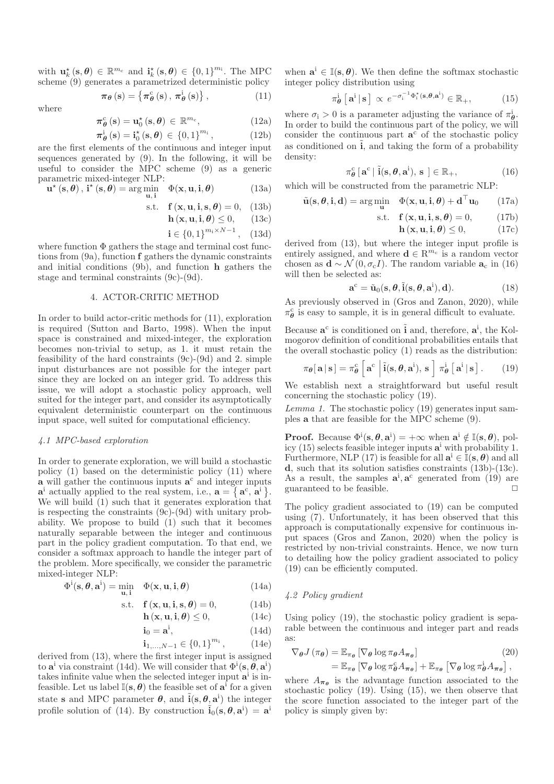with  $\mathbf{u}_k^{\star}(\mathbf{s},\boldsymbol{\theta}) \in \mathbb{R}^{m_c}$  and  $\mathbf{i}_k^{\star}(\mathbf{s},\boldsymbol{\theta}) \in \{0,1\}^{m_i}$ . The MPC scheme (9) generates a parametrized deterministic policy

$$
\pi_{\theta}\left(s\right) = \left\{\pi_{\theta}^{c}\left(s\right), \pi_{\theta}^{i}\left(s\right)\right\},\tag{11}
$$

where

$$
\pi_{\theta}^{c}(s) = u_{0}^{*}(s, \theta) \in \mathbb{R}^{m_{c}}, \qquad (12a)
$$

$$
\pi_{\theta}^{i}\left(s\right) = \mathbf{i}_{0}^{\star}\left(s,\theta\right) \,\in\, \left\{0,1\right\}^{m_{i}},\tag{12b}
$$

are the first elements of the continuous and integer input sequences generated by (9). In the following, it will be useful to consider the MPC scheme (9) as a generic parametric mixed-integer NLP:

$$
\mathbf{u}^{\star}\left(\mathbf{s},\boldsymbol{\theta}\right),\,\mathbf{i}^{\star}\left(\mathbf{s},\boldsymbol{\theta}\right)=\underset{\mathbf{u},\,\mathbf{i}}{\arg\min}\quad\Phi(\mathbf{x},\mathbf{u},\mathbf{i},\boldsymbol{\theta})\tag{13a}
$$

$$
\text{s.t.} \quad \mathbf{f}(\mathbf{x}, \mathbf{u}, \mathbf{i}, \mathbf{s}, \boldsymbol{\theta}) = 0, \quad \text{(13b)}
$$

$$
\mathbf{h}\left(\mathbf{x},\mathbf{u},\mathbf{i},\boldsymbol{\theta}\right)\leq0,\qquad(13c)
$$

$$
\mathbf{i} \in \{0, 1\}^{m_i \times N - 1}, \quad (13d)
$$

where function  $\Phi$  gathers the stage and terminal cost functions from (9a), function f gathers the dynamic constraints and initial conditions (9b), and function h gathers the stage and terminal constraints (9c)-(9d).

## 4. ACTOR-CRITIC METHOD

In order to build actor-critic methods for (11), exploration is required (Sutton and Barto, 1998). When the input space is constrained and mixed-integer, the exploration becomes non-trivial to setup, as 1. it must retain the feasibility of the hard constraints (9c)-(9d) and 2. simple input disturbances are not possible for the integer part since they are locked on an integer grid. To address this issue, we will adopt a stochastic policy approach, well suited for the integer part, and consider its asymptotically equivalent deterministic counterpart on the continuous input space, well suited for computational efficiency.

#### *4.1 MPC-based exploration*

In order to generate exploration, we will build a stochastic policy (1) based on the deterministic policy (11) where  $\bf{a}$  will gather the continuous inputs  $\bf{a}^c$  and integer inputs  $\mathbf{a}^{\text{i}}$  actually applied to the real system, i.e.,  $\mathbf{a} = \{ \mathbf{a}^{\text{c}}, \mathbf{a}^{\text{i}} \}.$ We will build (1) such that it generates exploration that is respecting the constraints (9c)-(9d) with unitary probability. We propose to build (1) such that it becomes naturally separable between the integer and continuous part in the policy gradient computation. To that end, we consider a softmax approach to handle the integer part of the problem. More specifically, we consider the parametric mixed-integer NLP:

$$
\Phi^{\mathbf{i}}(\mathbf{s}, \boldsymbol{\theta}, \mathbf{a}^{\mathbf{i}}) = \min_{\mathbf{u}, \mathbf{i}} \quad \Phi(\mathbf{x}, \mathbf{u}, \mathbf{i}, \boldsymbol{\theta}) \tag{14a}
$$

$$
s.t. \quad f(x, u, i, s, \theta) = 0,\tag{14b}
$$

$$
\mathbf{h}\left(\mathbf{x},\mathbf{u},\mathbf{i},\boldsymbol{\theta}\right)\leq 0,\tag{14c}
$$

$$
\mathbf{i}_0 = \mathbf{a}^\mathbf{i},\tag{14d}
$$

$$
\mathbf{i}_{1,\dots,N-1} \in \{0,1\}^{m_1},\tag{14e}
$$

derived from (13), where the first integer input is assigned to  $\mathbf{a}^i$  via constraint (14d). We will consider that  $\Phi^i(\mathbf{s}, \theta, \mathbf{a}^i)$ takes infinite value when the selected integer input  $a^i$  is infeasible. Let us label  $\mathbb{I}(\mathbf{s}, \theta)$  the feasible set of  $\mathbf{a}^{\mathbf{i}}$  for a given state **s** and MPC parameter  $\theta$ , and  $\tilde{i}(s, \theta, a^i)$  the integer profile solution of (14). By construction  $\tilde{i}_0(s, \theta, a^i) = a^i$ 

when  $\mathbf{a}^i \in \mathbb{I}(\mathbf{s}, \boldsymbol{\theta})$ . We then define the softmax stochastic integer policy distribution using

$$
\pi_{\theta}^{\mathbf{i}}\left[\mathbf{a}^{\mathbf{i}}\,|\,\mathbf{s}\,\right] \,\propto\, e^{-\sigma_{\mathbf{i}}^{-1}\Phi_{\mathbf{i}}^{\star}(\mathbf{s},\theta,\mathbf{a}^{\mathbf{i}})} \in \mathbb{R}_{+},\tag{15}
$$

where  $\sigma_i > 0$  is a parameter adjusting the variance of  $\pi^i_{\theta}$ . In order to build the continuous part of the policy, we will consider the continuous part  $a^c$  of the stochastic policy as conditioned on  $\hat{i}$ , and taking the form of a probability density:

$$
\pi_{\theta}^{c} [\mathbf{a}^{c} | \tilde{\mathbf{i}}(\mathbf{s}, \theta, \mathbf{a}^{i}), \mathbf{s} ] \in \mathbb{R}_{+}, \tag{16}
$$

which will be constructed from the parametric NLP:

$$
\tilde{\mathbf{u}}(\mathbf{s}, \boldsymbol{\theta}, \mathbf{i}, \mathbf{d}) = \arg\min_{\mathbf{u}} \quad \Phi(\mathbf{x}, \mathbf{u}, \mathbf{i}, \boldsymbol{\theta}) + \mathbf{d}^{\top}\mathbf{u}_0 \qquad (17a)
$$

$$
s.t. \quad f(x, u, i, s, \theta) = 0, \quad (17b)
$$

$$
\mathbf{h}\left(\mathbf{x}, \mathbf{u}, \mathbf{i}, \boldsymbol{\theta}\right) \le 0,\tag{17c}
$$

derived from (13), but where the integer input profile is entirely assigned, and where  $\mathbf{d} \in \mathbb{R}^{m_c}$  is a random vector chosen as  $\mathbf{d} \sim \mathcal{N}(0, \sigma_c I)$ . The random variable  $\mathbf{a}_c$  in (16) will then be selected as:

$$
\mathbf{a}^{\mathrm{c}} = \tilde{\mathbf{u}}_0(\mathbf{s}, \theta, \tilde{\mathbf{i}}(\mathbf{s}, \theta, \mathbf{a}^{\mathrm{i}}), \mathbf{d}).\tag{18}
$$

As previously observed in (Gros and Zanon, 2020), while  $\pi_{\theta}^c$  is easy to sample, it is in general difficult to evaluate.

Because  $\mathbf{a}^c$  is conditioned on  $\tilde{\mathbf{i}}$  and, therefore,  $\mathbf{a}^i$ , the Kolmogorov definition of conditional probabilities entails that the overall stochastic policy (1) reads as the distribution:

$$
\pi_{\theta}[\mathbf{a} | \mathbf{s}] = \pi_{\theta}^{c} \left[ \mathbf{a}^{c} \middle| \tilde{\mathbf{i}}(\mathbf{s}, \theta, \mathbf{a}^{i}), \mathbf{s} \right] \pi_{\theta}^{i} \left[ \mathbf{a}^{i} | \mathbf{s} \right]. \tag{19}
$$

We establish next a straightforward but useful result concerning the stochastic policy (19).

*Lemma 1.* The stochastic policy (19) generates input samples a that are feasible for the MPC scheme (9).

**Proof.** Because  $\Phi^i(\mathbf{s}, \theta, \mathbf{a}^i) = +\infty$  when  $\mathbf{a}^i \notin \mathbb{I}(\mathbf{s}, \theta)$ , policy  $(15)$  selects feasible integer inputs  $a^i$  with probability 1. Furthermore, NLP (17) is feasible for all  $\mathbf{a}^i \in \mathbb{I}(\mathbf{s}, \boldsymbol{\theta})$  and all d, such that its solution satisfies constraints (13b)-(13c). As a result, the samples  $a^i$ ,  $a^c$  generated from (19) are guaranteed to be feasible.  $\Box$ 

The policy gradient associated to (19) can be computed using (7). Unfortunately, it has been observed that this approach is computationally expensive for continuous input spaces (Gros and Zanon, 2020) when the policy is restricted by non-trivial constraints. Hence, we now turn to detailing how the policy gradient associated to policy (19) can be efficiently computed.

# *4.2 Policy gradient*

Using policy (19), the stochastic policy gradient is separable between the continuous and integer part and reads as:

$$
\nabla_{\theta} J(\pi_{\theta}) = \mathbb{E}_{\pi_{\theta}} \left[ \nabla_{\theta} \log \pi_{\theta} A_{\pi_{\theta}} \right]
$$
 (20)

$$
= \mathbb{E}_{\pi_{\theta}} \left[ \nabla_{\theta} \log \pi_{\theta}^{c} A_{\pi_{\theta}} \right] + \mathbb{E}_{\pi_{\theta}} \left[ \nabla_{\theta} \log \pi_{\theta}^{i} A_{\pi_{\theta}} \right],
$$

where  $A_{\pi_{\theta}}$  is the advantage function associated to the stochastic policy (19). Using (15), we then observe that the score function associated to the integer part of the policy is simply given by: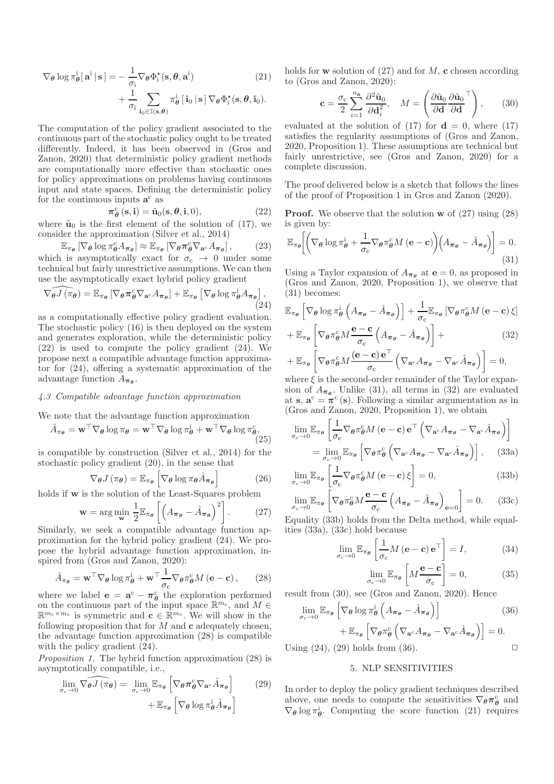$$
\nabla_{\theta} \log \pi_{\theta}^{i}[\mathbf{a}^{i} | \mathbf{s}] = -\frac{1}{\sigma_{i}} \nabla_{\theta} \Phi_{i}^{\star}(\mathbf{s}, \theta, \mathbf{a}^{i}) + \frac{1}{\sigma_{i}} \sum_{\mathbf{i}_{0} \in \mathbb{I}(\mathbf{s}, \theta)} \pi_{\theta}^{i}[\mathbf{i}_{0} | \mathbf{s}] \nabla_{\theta} \Phi_{i}^{\star}(\mathbf{s}, \theta, \mathbf{i}_{0}).
$$
\n(21)

The computation of the policy gradient associated to the continuous part of the stochastic policy ought to be treated differently. Indeed, it has been observed in (Gros and Zanon, 2020) that deterministic policy gradient methods are computationally more effective than stochastic ones for policy approximations on problems having continuous input and state spaces. Defining the deterministic policy for the continuous inputs  $a^c$  as

$$
\pi_{\theta}^{\mathrm{c}}\left(\mathbf{s},\mathbf{i}\right) = \tilde{\mathbf{u}}_{0}(\mathbf{s},\theta,\mathbf{i},0),\tag{22}
$$

where  $\tilde{u}_0$  is the first element of the solution of (17), we consider the approximation (Silver et al., 2014)

$$
\mathbb{E}_{\pi_{\theta}}\left[\nabla_{\theta}\log\pi_{\theta}^c A_{\pi_{\theta}}\right] \approx \mathbb{E}_{\pi_{\theta}}\left[\nabla_{\theta}\pi_{\theta}^c \nabla_{\mathbf{a}^c} A_{\pi_{\theta}}\right],\tag{23}
$$

which is asymptotically exact for  $\sigma_c \rightarrow 0$  under some technical but fairly unrestrictive assumptions. We can then use the asymptotically exact hybrid policy gradient

$$
\widehat{\nabla_{\theta} J(\pi_{\theta})} = \mathbb{E}_{\pi_{\theta}} \left[ \nabla_{\theta} \pi_{\theta}^{c} \nabla_{\mathbf{a}^{c}} A_{\pi_{\theta}} \right] + \mathbb{E}_{\pi_{\theta}} \left[ \nabla_{\theta} \log \pi_{\theta}^{i} A_{\pi_{\theta}} \right],
$$
\n(24)

as a computationally effective policy gradient evaluation. The stochastic policy (16) is then deployed on the system and generates exploration, while the deterministic policy (22) is used to compute the policy gradient (24). We propose next a compatible advantage function approximator for (24), offering a systematic approximation of the advantage function  $A_{\pi_{\theta}}$ .

#### *4.3 Compatible advantage function approximation*

We note that the advantage function approximation

$$
\hat{A}_{\pi_{\theta}} = \mathbf{w}^{\top} \nabla_{\theta} \log \pi_{\theta} = \mathbf{w}^{\top} \nabla_{\theta} \log \pi_{\theta}^{i} + \mathbf{w}^{\top} \nabla_{\theta} \log \pi_{\theta}^{c},
$$
\n(25)

is compatible by construction (Silver et al., 2014) for the stochastic policy gradient (20), in the sense that

$$
\nabla_{\theta} J(\pi_{\theta}) = \mathbb{E}_{\pi_{\theta}} \left[ \nabla_{\theta} \log \pi_{\theta} \hat{A}_{\pi_{\theta}} \right]
$$
(26)

holds if w is the solution of the Least-Squares problem

$$
\mathbf{w} = \arg\min_{\mathbf{w}} \frac{1}{2} \mathbb{E}_{\pi_{\theta}} \left[ \left( A_{\pi_{\theta}} - \hat{A}_{\pi_{\theta}} \right)^2 \right]. \tag{27}
$$

Similarly, we seek a compatible advantage function approximation for the hybrid policy gradient (24). We propose the hybrid advantage function approximation, inspired from (Gros and Zanon, 2020):

$$
\hat{A}_{\pi_{\theta}} = \mathbf{w}^{\top} \nabla_{\theta} \log \pi_{\theta}^{\mathbf{i}} + \mathbf{w}^{\top} \frac{1}{\sigma_{\mathbf{c}}} \nabla_{\theta} \pi_{\theta}^{\mathbf{c}} M \left( \mathbf{e} - \mathbf{c} \right), \qquad (28)
$$

where we label  $\mathbf{e} = \mathbf{a}^c - \pi_{\theta}^c$  the exploration performed on the continuous part of the input space  $\mathbb{R}^{m_c}$ , and  $M \in$  $\mathbb{R}^{m_c \times m_c}$  is symmetric and  $\mathbf{c} \in \mathbb{R}^{m_c}$ . We will show in the following proposition that for  $M$  and  $\mathbf c$  adequately chosen, the advantage function approximation (28) is compatible with the policy gradient  $(24)$ .

*Proposition 1.* The hybrid function approximation (28) is asymptotically compatible, i.e.,

$$
\lim_{\sigma_c \to 0} \widehat{\nabla_{\theta} J(\pi_{\theta})} = \lim_{\sigma_c \to 0} \mathbb{E}_{\pi_{\theta}} \left[ \nabla_{\theta} \pi_{\theta}^c \nabla_{\mathbf{a}^c} \hat{A}_{\pi_{\theta}} \right] \qquad (29)
$$

$$
+ \mathbb{E}_{\pi_{\theta}} \left[ \nabla_{\theta} \log \pi_{\theta}^i \hat{A}_{\pi_{\theta}} \right]
$$

holds for **w** solution of (27) and for  $M$ , **c** chosen according to (Gros and Zanon, 2020):

$$
\mathbf{c} = \frac{\sigma_{\rm c}}{2} \sum_{i=1}^{n_{\mathbf{a}}} \frac{\partial^2 \tilde{\mathbf{u}}_0}{\partial \mathbf{d}_i^2}, \quad M = \left(\frac{\partial \tilde{\mathbf{u}}_0}{\partial \mathbf{d}} \frac{\partial \tilde{\mathbf{u}}_0}{\partial \mathbf{d}}^\top\right), \qquad (30)
$$

evaluated at the solution of  $(17)$  for  $\mathbf{d} = 0$ , where  $(17)$ satisfies the regularity assumptions of (Gros and Zanon, 2020, Proposition 1). These assumptions are technical but fairly unrestrictive, see (Gros and Zanon, 2020) for a complete discussion.

The proof delivered below is a sketch that follows the lines of the proof of Proposition 1 in Gros and Zanon (2020).

**Proof.** We observe that the solution  $\bf{w}$  of (27) using (28) is given by:

$$
\mathbb{E}_{\pi_{\theta}}\bigg[\bigg(\nabla_{\theta}\log\pi_{\theta}^{i} + \frac{1}{\sigma_{c}}\nabla_{\theta}\pi_{\theta}^{c}M\left(\mathbf{e}-\mathbf{c}\right)\bigg(A_{\pi_{\theta}}-\hat{A}_{\pi_{\theta}}\bigg)\bigg] = 0.\tag{31}
$$

Using a Taylor expansion of  $A_{\pi_{\theta}}$  at  $e = 0$ , as proposed in (Gros and Zanon, 2020, Proposition 1), we observe that (31) becomes:

$$
\mathbb{E}_{\pi_{\theta}} \left[ \nabla_{\theta} \log \pi_{\theta}^{i} \left( A_{\pi_{\theta}} - \hat{A}_{\pi_{\theta}} \right) \right] + \frac{1}{\sigma_{c}} \mathbb{E}_{\pi_{\theta}} \left[ \nabla_{\theta} \pi_{\theta}^{c} M \left( e - c \right) \xi \right] \n+ \mathbb{E}_{\pi_{\theta}} \left[ \nabla_{\theta} \pi_{\theta}^{c} M \frac{e - c}{\sigma_{c}} \left( A_{\pi_{\theta}} - \hat{A}_{\pi_{\theta}} \right) \right] + \qquad (32) \n+ \mathbb{E}_{\pi_{\theta}} \left[ \nabla_{\theta} \pi_{\theta}^{c} M \frac{(e - c) e^{T}}{\sigma_{c}} \left( \nabla_{a^{c}} A_{\pi_{\theta}} - \nabla_{a^{c}} \hat{A}_{\pi_{\theta}} \right) \right] = 0,
$$
\nwhere  $f$  is the second order remains done of the Taylor curve.

where  $\xi$  is the second-order remainder of the Taylor expansion of  $A_{\pi_{\theta}}$ . Unlike (31), all terms in (32) are evaluated at s,  $\mathbf{a}^c = \pi^c$  (s). Following a similar argumentation as in (Gros and Zanon, 2020, Proposition 1), we obtain

$$
\lim_{\sigma_c \to 0} \mathbb{E}_{\pi_{\theta}} \left[ \frac{1}{\sigma_c} \nabla_{\theta} \pi_{\theta}^c M \left( \mathbf{e} - \mathbf{c} \right) \mathbf{e}^\top \left( \nabla_{\mathbf{a}^c} A_{\pi_{\theta}} - \nabla_{\mathbf{a}^c} \hat{A}_{\pi_{\theta}} \right) \right]
$$
\n
$$
= \lim_{\sigma_c \to 0} \mathbb{E}_{\pi_{\theta}} \left[ \nabla_{\theta} \pi_{\theta}^c \left( \nabla_{\mathbf{a}^c} A_{\pi_{\theta}} - \nabla_{\mathbf{a}^c} \hat{A}_{\pi_{\theta}} \right) \right], \quad (33a)
$$

$$
\lim_{\sigma_{\rm c} \to 0} \mathbb{E}_{\pi_{\theta}} \left[ \frac{1}{\sigma_{\rm c}} \nabla_{\theta} \pi_{\theta}^{\rm c} M \left( \mathbf{e} - \mathbf{c} \right) \xi \right] = 0, \tag{33b}
$$

$$
\lim_{\sigma_c \to 0} \mathbb{E}_{\pi_{\theta}} \left[ \nabla_{\theta} \pi_{\theta}^c M \frac{\mathbf{e} - \mathbf{c}}{\sigma_c} \left( A_{\pi_{\theta}} - \hat{A}_{\pi_{\theta}} \right)_{\mathbf{e} = 0} \right] = 0. \quad (33c)
$$

Equality (33b) holds from the Delta method, while equalities (33a), (33c) hold because

$$
\lim_{\sigma_c \to 0} \mathbb{E}_{\pi_{\theta}} \left[ \frac{1}{\sigma_c} M \left( \mathbf{e} - \mathbf{c} \right) \mathbf{e}^{\top} \right] = I, \tag{34}
$$

$$
\lim_{\sigma_{\rm c} \to 0} \mathbb{E}_{\pi_{\theta}} \left[ M \frac{\mathbf{e} - \mathbf{c}}{\sigma_{\rm c}} \right] = 0, \tag{35}
$$

result from (30), see (Gros and Zanon, 2020). Hence

$$
\lim_{\sigma_c \to 0} \mathbb{E}_{\pi_{\theta}} \left[ \nabla_{\theta} \log \pi_{\theta}^{i} \left( A_{\pi_{\theta}} - \hat{A}_{\pi_{\theta}} \right) \right]
$$
\n
$$
+ \mathbb{E}_{\pi_{\theta}} \left[ \nabla_{\theta} \pi_{\theta}^{c} \left( \nabla_{\mathbf{a}^{c}} A_{\pi_{\theta}} - \nabla_{\mathbf{a}^{c}} \hat{A}_{\pi_{\theta}} \right) \right] = 0.
$$
\n(36)

Using  $(24)$ ,  $(29)$  holds from  $(36)$ .

# 5. NLP SENSITIVITIES

In order to deploy the policy gradient techniques described above, one needs to compute the sensitivities  $\nabla_{\theta} \pi_{\theta}^{c}$  and  $\nabla_{\theta} \log \pi_{\theta}^{i}$ . Computing the score function (21) requires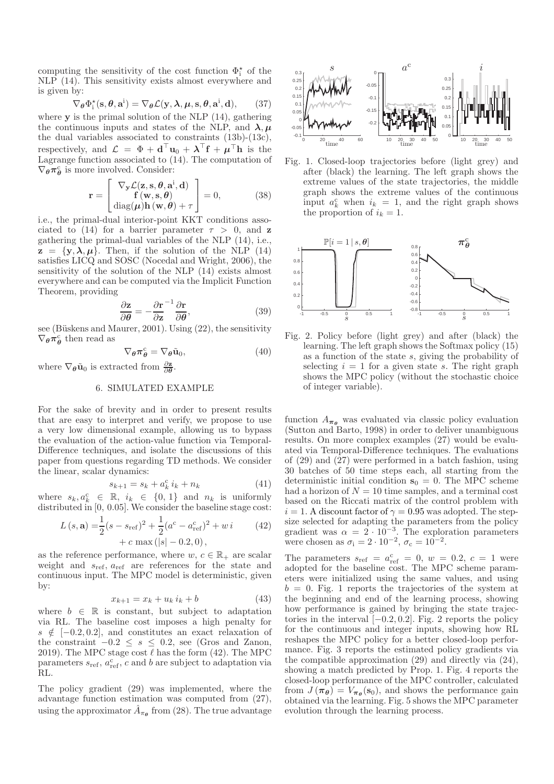computing the sensitivity of the cost function  $\Phi_i^{\star}$  of the NLP (14). This sensitivity exists almost everywhere and is given by:

$$
\nabla_{\boldsymbol{\theta}} \Phi_{i}^{\star}(\mathbf{s}, \boldsymbol{\theta}, \mathbf{a}^{\mathrm{i}}) = \nabla_{\boldsymbol{\theta}} \mathcal{L}(\mathbf{y}, \boldsymbol{\lambda}, \boldsymbol{\mu}, \mathbf{s}, \boldsymbol{\theta}^{\mathrm{PSfrag}}_{\boldsymbol{\tau}}, \mathbf{a}^{\mathrm{PPI} \mathrm{ag} \mathrm{c} \mathrm{c} \mathrm{ments}}
$$

where **y** is the primal solution of the NLP  $(14)$ , gathering the continuous inputs and states of the NLP, and  $\lambda, \mu$ the dual variables associated to constraints (13b)-(13c), respectively, and  $\mathcal{L} = \Phi + \mathbf{d}^{\top} \mathbf{u}_0 + \boldsymbol{\lambda}^{\top} \mathbf{f} + \boldsymbol{\mu}^{\top} \mathbf{h}$  is the Lagrange function associated to (14). The computation of  $\nabla_{\theta} \pi_{\theta}^{\mathsf{c}}$  is more involved. Consider:

$$
\mathbf{r} = \begin{bmatrix} \nabla_{\mathbf{y}} \mathcal{L}(\mathbf{z}, \mathbf{s}, \theta, \mathbf{a}^{\mathbf{i}}, \mathbf{d}) \\ \mathbf{f}(\mathbf{w}, \mathbf{s}, \theta) \\ \text{diag}(\boldsymbol{\mu}) \mathbf{h}(\mathbf{w}, \theta) + \tau \end{bmatrix} = 0, \quad (38)
$$

i.e., the primal-dual interior-point KKT conditions associated to (14) for a barrier parameter  $\tau > 0$ , and z gathering the primal-dual variables of the NLP (14), i.e.,  $z = \{y, \lambda, \mu\}$ . Then, if the solution of the NLP (14) satisfies LICQ and SOSC (Nocedal and Wright, 2006), the sensitivity of the solution of the NLP (14) exists almost everywhere and can be computed via the Implicit Function resolution Theorem, providing

$$
\frac{\partial \mathbf{z}}{\partial \boldsymbol{\theta}} = -\frac{\partial \mathbf{r}}{\partial \mathbf{z}}^{-1} \frac{\partial \mathbf{r}}{\partial \boldsymbol{\theta}},\tag{39}
$$

see (Büskens and Maurer, 2001). Using  $(22)$ , the sensitivity  $\nabla_{\theta} \pi_{\theta}^{\mathsf{c}}$  then read as

$$
\nabla_{\theta} \pi_{\theta}^{\mathbf{c}} = \nabla_{\theta} \tilde{\mathbf{u}}_0, \tag{40}
$$

where  $\nabla_{\theta} \tilde{\mathbf{u}}_0$  is extracted from  $\frac{\partial \mathbf{z}}{\partial \theta}$ .

# 6. SIMULATED EXAMPLE

For the sake of brevity and in order to present results that are easy to interpret and verify, we propose to use a very low dimensional example, allowing us to bypass the evaluation of the action-value function via Temporal-Difference techniques, and isolate the discussions of this paper from questions regarding TD methods. We consider the linear, scalar dynamics:

$$
s_{k+1} = s_k + a_k^c \, i_k + n_k \tag{41}
$$

where  $s_k, a_k^c \in \mathbb{R}, i_k \in \{0, 1\}$  and  $n_k$  is uniformly distributed in [0, 0.05]. We consider the baseline stage cost:

$$
L(s, \mathbf{a}) = \frac{1}{2}(s - s_{\text{ref}})^2 + \frac{1}{2}(a^c - a^c_{\text{ref}})^2 + wi \qquad (42)
$$

$$
+ c \max(|s| - 0.2, 0),
$$

as the reference performance, where  $w, c \in \mathbb{R}_+$  are scalar weight and  $s_{\text{ref}}$ ,  $a_{\text{ref}}$  are references for the state and continuous input. The MPC model is deterministic, given by:

$$
x_{k+1} = x_k + u_k \, i_k + b \tag{43}
$$

where  $b \in \mathbb{R}$  is constant, but subject to adaptation via RL. The baseline cost imposes a high penalty for  $s \notin [-0.2, 0.2]$ , and constitutes an exact relaxation of the constraint  $-0.2 \leq s \leq 0.2$ , see (Gros and Zanon, 2019). The MPC stage cost  $\ell$  has the form (42). The MPC parameters  $s_{\text{ref}}, a_{\text{ref}}^{\text{c}}, c$  and b are subject to adaptation via RL.

The policy gradient (29) was implemented, where the advantage function estimation was computed from (27), using the approximator  $\hat{A}_{\pi_{\theta}}$  from (28). The true advantage



Fig. 1. Closed-loop trajectories before (light grey) and after (black) the learning. The left graph shows the extreme values of the state trajectories, the middle graph shows the extreme values of the continuous input  $a_k^c$  when  $i_k = 1$ , and the right graph shows the proportion of  $i_k = 1$ .



Fig. 2. Policy before (light grey) and after (black) the learning. The left graph shows the Softmax policy (15) as a function of the state s, giving the probability of selecting  $i = 1$  for a given state s. The right graph shows the MPC policy (without the stochastic choice of integer variable).

function  $A_{\pi_{\theta}}$  was evaluated via classic policy evaluation (Sutton and Barto, 1998) in order to deliver unambiguous results. On more complex examples (27) would be evaluated via Temporal-Difference techniques. The evaluations of (29) and (27) were performed in a batch fashion, using 30 batches of 50 time steps each, all starting from the deterministic initial condition  $s_0 = 0$ . The MPC scheme had a horizon of  $N = 10$  time samples, and a terminal cost based on the Riccati matrix of the control problem with  $i = 1$ . A discount factor of  $\gamma = 0.95$  was adopted. The stepsize selected for adapting the parameters from the policy gradient was  $\alpha = 2 \cdot 10^{-3}$ . The exploration parameters were chosen as  $\sigma_i = 2 \cdot 10^{-2}$ ,  $\sigma_c = 10^{-2}$ .

The parameters  $s_{ref} = a_{ref}^c = 0, w = 0.2, c = 1$  were adopted for the baseline cost. The MPC scheme parameters were initialized using the same values, and using  $b = 0$ . Fig. 1 reports the trajectories of the system at the beginning and end of the learning process, showing how performance is gained by bringing the state trajectories in the interval  $[-0.2, 0.2]$ . Fig. 2 reports the policy for the continuous and integer inputs, showing how RL reshapes the MPC policy for a better closed-loop performance. Fig. 3 reports the estimated policy gradients via the compatible approximation (29) and directly via (24), showing a match predicted by Prop. 1. Fig. 4 reports the closed-loop performance of the MPC controller, calculated from  $J(\pi_{\theta}) = V_{\pi_{\theta}}(\mathbf{s}_0)$ , and shows the performance gain obtained via the learning. Fig. 5 shows the MPC parameter evolution through the learning process.